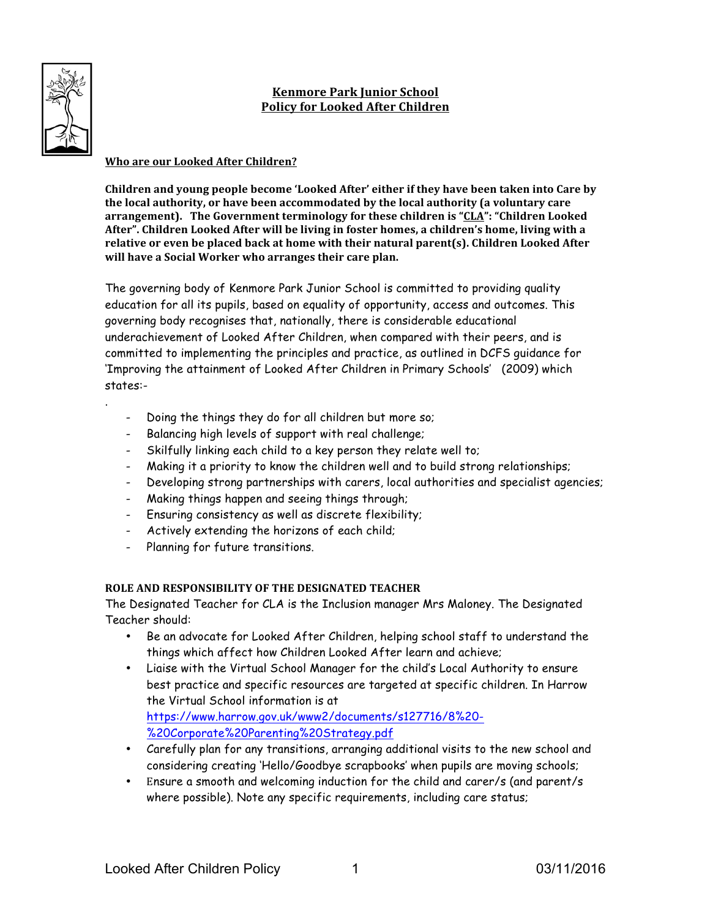# **Kenmore Park Junior School Policy for Looked After Children**

# **Who are our Looked After Children?**

.

**Children and young people become 'Looked After' either if they have been taken into Care by** the local authority, or have been accommodated by the local authority (a voluntary care arrangement). The Government terminology for these children is "CLA": "Children Looked After". Children Looked After will be living in foster homes, a children's home, living with a relative or even be placed back at home with their natural parent(s). Children Looked After will have a Social Worker who arranges their care plan.

The governing body of Kenmore Park Junior School is committed to providing quality education for all its pupils, based on equality of opportunity, access and outcomes. This governing body recognises that, nationally, there is considerable educational underachievement of Looked After Children, when compared with their peers, and is committed to implementing the principles and practice, as outlined in DCFS guidance for 'Improving the attainment of Looked After Children in Primary Schools' (2009) which states:-

- Doing the things they do for all children but more so;
- Balancing high levels of support with real challenge;
- Skilfully linking each child to a key person they relate well to;
- Making it a priority to know the children well and to build strong relationships;
- Developing strong partnerships with carers, local authorities and specialist agencies;
- Making things happen and seeing things through;
- Ensuring consistency as well as discrete flexibility;
- Actively extending the horizons of each child;
- Planning for future transitions.

## **ROLE AND RESPONSIBILITY OF THE DESIGNATED TEACHER**

The Designated Teacher for CLA is the Inclusion manager Mrs Maloney. The Designated Teacher should:

- Be an advocate for Looked After Children, helping school staff to understand the things which affect how Children Looked After learn and achieve;
- Liaise with the Virtual School Manager for the child's Local Authority to ensure best practice and specific resources are targeted at specific children. In Harrow the Virtual School information is at https://www.harrow.gov.uk/www2/documents/s127716/8%20- %20Corporate%20Parenting%20Strategy.pdf
- Carefully plan for any transitions, arranging additional visits to the new school and considering creating 'Hello/Goodbye scrapbooks' when pupils are moving schools;
- Ensure a smooth and welcoming induction for the child and carer/s (and parent/s where possible). Note any specific requirements, including care status;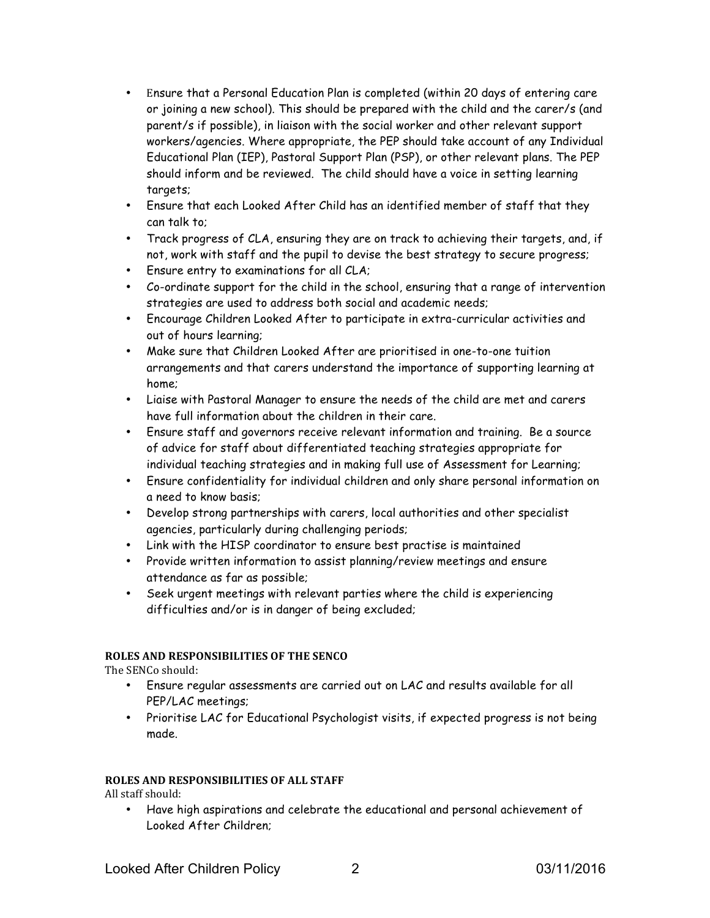- Ensure that a Personal Education Plan is completed (within 20 days of entering care or joining a new school). This should be prepared with the child and the carer/s (and parent/s if possible), in liaison with the social worker and other relevant support workers/agencies. Where appropriate, the PEP should take account of any Individual Educational Plan (IEP), Pastoral Support Plan (PSP), or other relevant plans. The PEP should inform and be reviewed. The child should have a voice in setting learning targets;
- Ensure that each Looked After Child has an identified member of staff that they can talk to;
- Track progress of CLA, ensuring they are on track to achieving their targets, and, if not, work with staff and the pupil to devise the best strategy to secure progress;
- Ensure entry to examinations for all CLA;
- Co-ordinate support for the child in the school, ensuring that a range of intervention strategies are used to address both social and academic needs;
- Encourage Children Looked After to participate in extra-curricular activities and out of hours learning;
- Make sure that Children Looked After are prioritised in one-to-one tuition arrangements and that carers understand the importance of supporting learning at home;
- Liaise with Pastoral Manager to ensure the needs of the child are met and carers have full information about the children in their care.
- Ensure staff and governors receive relevant information and training. Be a source of advice for staff about differentiated teaching strategies appropriate for individual teaching strategies and in making full use of Assessment for Learning;
- Ensure confidentiality for individual children and only share personal information on a need to know basis;
- Develop strong partnerships with carers, local authorities and other specialist agencies, particularly during challenging periods;
- Link with the HISP coordinator to ensure best practise is maintained
- Provide written information to assist planning/review meetings and ensure attendance as far as possible;
- Seek urgent meetings with relevant parties where the child is experiencing difficulties and/or is in danger of being excluded;

## **ROLES AND RESPONSIBILITIES OF THE SENCO**

The SENCo should:

- Ensure regular assessments are carried out on LAC and results available for all PEP/LAC meetings;
- Prioritise LAC for Educational Psychologist visits, if expected progress is not being made.

## **ROLES AND RESPONSIBILITIES OF ALL STAFF**

All staff should:

• Have high aspirations and celebrate the educational and personal achievement of Looked After Children;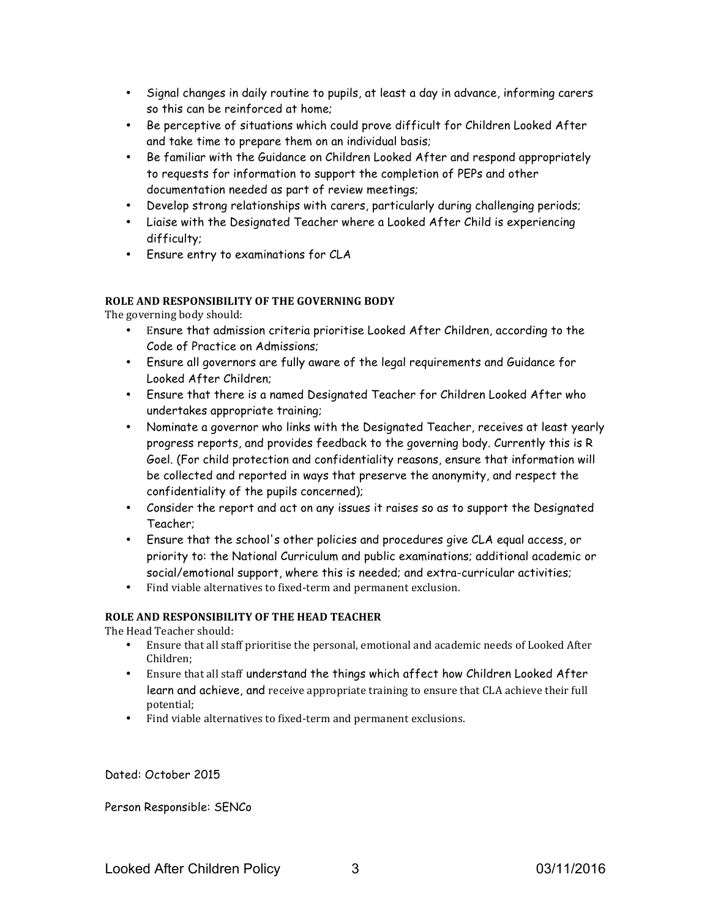- Signal changes in daily routine to pupils, at least a day in advance, informing carers so this can be reinforced at home;
- Be perceptive of situations which could prove difficult for Children Looked After and take time to prepare them on an individual basis;
- Be familiar with the Guidance on Children Looked After and respond appropriately to requests for information to support the completion of PEPs and other documentation needed as part of review meetings;
- Develop strong relationships with carers, particularly during challenging periods;
- Liaise with the Designated Teacher where a Looked After Child is experiencing difficulty;
- Ensure entry to examinations for CLA

#### **ROLE AND RESPONSIBILITY OF THE GOVERNING BODY**

The governing body should:

- Ensure that admission criteria prioritise Looked After Children, according to the Code of Practice on Admissions;
- Ensure all governors are fully aware of the legal requirements and Guidance for Looked After Children;
- Ensure that there is a named Designated Teacher for Children Looked After who undertakes appropriate training;
- Nominate a governor who links with the Designated Teacher, receives at least yearly progress reports, and provides feedback to the governing body. Currently this is R Goel. (For child protection and confidentiality reasons, ensure that information will be collected and reported in ways that preserve the anonymity, and respect the confidentiality of the pupils concerned);
- Consider the report and act on any issues it raises so as to support the Designated Teacher;
- Ensure that the school's other policies and procedures give CLA equal access, or priority to: the National Curriculum and public examinations; additional academic or social/emotional support, where this is needed; and extra-curricular activities;
- Find viable alternatives to fixed-term and permanent exclusion.

#### **ROLE AND RESPONSIBILITY OF THE HEAD TEACHER**

The Head Teacher should:

- Ensure that all staff prioritise the personal, emotional and academic needs of Looked After Children;
- Ensure that all staff understand the things which affect how Children Looked After learn and achieve, and receive appropriate training to ensure that CLA achieve their full potential;
- Find viable alternatives to fixed-term and permanent exclusions.

Dated: October 2015

Person Responsible: SENCo